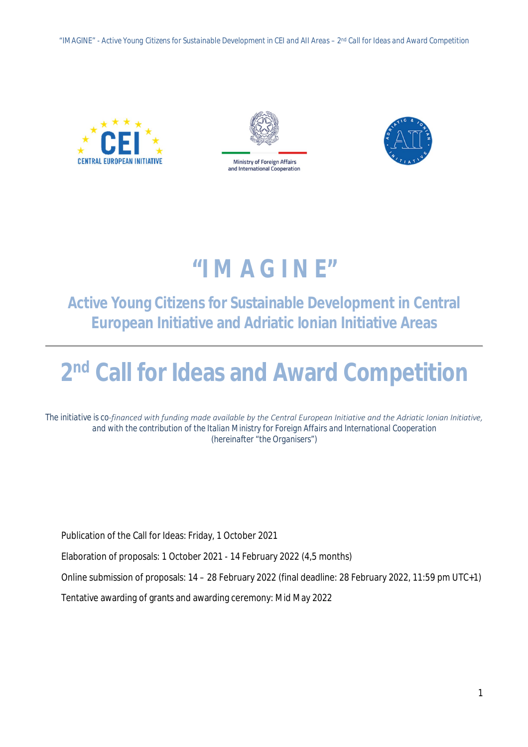*"IMAGINE" - Active Young Citizens for Sustainable Development in CEI and AII Areas – 2 nd Call for Ideas and Award Competition*







# *"I M A G I N E"*

## **Active Young Citizens for Sustainable Development in Central European Initiative and Adriatic Ionian Initiative Areas**

# **2 nd Call for Ideas and Award Competition**

*The initiative is co‐financed with funding made available by the Central European Initiative and the Adriatic Ionian Initiative, and with the contribution of the Italian Ministry for Foreign Affairs and International Cooperation (hereinafter "the Organisers")*

Publication of the Call for Ideas: Friday, 1 October 2021

Elaboration of proposals: 1 October 2021 - 14 February 2022 (4,5 months)

Online submission of proposals: 14 – 28 February 2022 (final deadline: 28 February 2022, 11:59 pm UTC+1)

Tentative awarding of grants and awarding ceremony: Mid May 2022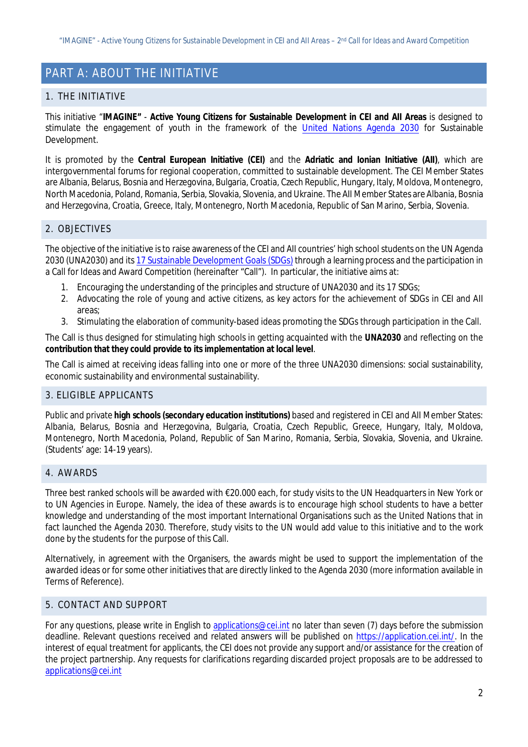### PART A: ABOUT THE INITIATIVE

#### 1. THE INITIATIVE

This initiative "*IMAGINE"* - **Active Young Citizens for Sustainable Development in CEI and AII Areas** is designed to stimulate the engagement of youth in the framework of the United Nations Agenda 2030 for Sustainable Development.

It is promoted by the **Central European Initiative (CEI)** and the **Adriatic and Ionian Initiative (AII)**, which are intergovernmental forums for regional cooperation, committed to sustainable development. The CEI Member States are Albania, Belarus, Bosnia and Herzegovina, Bulgaria, Croatia, Czech Republic, Hungary, Italy, Moldova, Montenegro, North Macedonia, Poland, Romania, Serbia, Slovakia, Slovenia, and Ukraine. The AII Member States are Albania, Bosnia and Herzegovina, Croatia, Greece, Italy, Montenegro, North Macedonia, Republic of San Marino, Serbia, Slovenia.

#### 2. OBJECTIVES

The objective of the initiative is to raise awareness of the CEI and AII countries' high school students on the UN Agenda 2030 (UNA2030) and its 17 Sustainable Development Goals (SDGs) through a learning process and the participation in a Call for Ideas and Award Competition (hereinafter "Call"). In particular, the initiative aims at:

- 1. Encouraging the understanding of the principles and structure of UNA2030 and its 17 SDGs;
- 2. Advocating the role of young and active citizens, as key actors for the achievement of SDGs in CEI and AII areas;
- 3. Stimulating the elaboration of community-based ideas promoting the SDGs through participation in the Call.

The Call is thus designed for stimulating high schools in getting acquainted with the **UNA2030** and reflecting on the **contribution that they could provide to its implementation at local level**.

The Call is aimed at receiving ideas falling into one or more of the three UNA2030 dimensions: social sustainability, economic sustainability and environmental sustainability.

#### 3. ELIGIBLE APPLICANTS

Public and private **high schools (secondary education institutions)** based and registered in CEI and AII Member States: Albania, Belarus, Bosnia and Herzegovina, Bulgaria, Croatia, Czech Republic, Greece, Hungary, Italy, Moldova, Montenegro, North Macedonia, Poland, Republic of San Marino, Romania, Serbia, Slovakia, Slovenia, and Ukraine. (Students' age: 14-19 years).

#### 4. AWARDS

Three best ranked schools will be awarded with €20.000 each, for study visits to the UN Headquarters in New York or to UN Agencies in Europe. Namely, the idea of these awards is to encourage high school students to have a better knowledge and understanding of the most important International Organisations such as the United Nations that in fact launched the Agenda 2030. Therefore, study visits to the UN would add value to this initiative and to the work done by the students for the purpose of this Call.

Alternatively, in agreement with the Organisers, the awards might be used to support the implementation of the awarded ideas or for some other initiatives that are directly linked to the Agenda 2030 (more information available in Terms of Reference).

#### 5. CONTACT AND SUPPORT

For any questions, please write in English to applications@cei.int no later than seven (7) days before the submission deadline. Relevant questions received and related answers will be published on https://application.cei.int/. In the interest of equal treatment for applicants, the CEI does not provide any support and/or assistance for the creation of the project partnership. Any requests for clarifications regarding discarded project proposals are to be addressed to applications@cei.int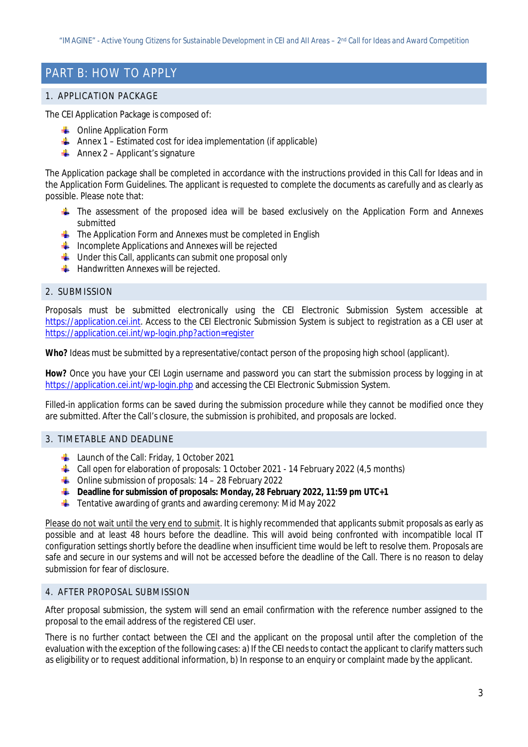### PART B: HOW TO APPLY

#### 1. APPLICATION PACKAGE

The CEI Application Package is composed of:

- **CONLINE Application Form**
- Annex  $1$  Estimated cost for idea implementation (if applicable)
- Annex 2 Applicant's signature

The Application package shall be completed in accordance with the instructions provided in this *Call for Ideas* and in the *Application Form Guidelines*. The applicant is requested to complete the documents as carefully and as clearly as possible. Please note that:

- $\pm$  The assessment of the proposed idea will be based exclusively on the Application Form and Annexes submitted
- $\frac{1}{2}$  The Application Form and Annexes must be completed in English
- $\bigstar$  Incomplete Applications and Annexes will be rejected
- $\frac{1}{2}$  Under this Call, applicants can submit one proposal only
- $\frac{1}{2}$  Handwritten Annexes will be rejected.

#### 2. SUBMISSION

Proposals must be submitted electronically using the CEI Electronic Submission System accessible at https://application.cei.int. Access to the CEI Electronic Submission System is subject to registration as a CEI user at https://application.cei.int/wp-login.php?action=register

**Who?** Ideas must be submitted by a representative/contact person of the proposing high school (applicant).

**How?** Once you have your CEI Login username and password you can start the submission process by logging in at https://application.cei.int/wp-login.php and accessing the CEI Electronic Submission System.

Filled-in application forms can be saved during the submission procedure while they cannot be modified once they are submitted. After the Call's closure, the submission is prohibited, and proposals are locked.

#### 3. TIMETABLE AND DEADLINE

- **Launch of the Call: Friday, 1 October 2021**
- 4 Call open for elaboration of proposals: 1 October 2021 14 February 2022 (4,5 months)
- $\bigoplus$  Online submission of proposals: 14 28 February 2022
- **Deadline for submission of proposals: Monday, 28 February 2022, 11:59 pm UTC+1**
- $\ddot{\phantom{1}}$  Tentative awarding of grants and awarding ceremony: Mid May 2022

Please do not wait until the very end to submit. It is highly recommended that applicants submit proposals as early as possible and at least 48 hours before the deadline. This will avoid being confronted with incompatible local IT configuration settings shortly before the deadline when insufficient time would be left to resolve them. Proposals are safe and secure in our systems and will not be accessed before the deadline of the Call. There is no reason to delay submission for fear of disclosure.

#### 4. AFTER PROPOSAL SUBMISSION

After proposal submission, the system will send an email confirmation with the reference number assigned to the proposal to the email address of the registered CEI user.

There is no further contact between the CEI and the applicant on the proposal until after the completion of the evaluation with the exception of the following cases: a) If the CEI needs to contact the applicant to clarify matters such as eligibility or to request additional information, b) In response to an enquiry or complaint made by the applicant.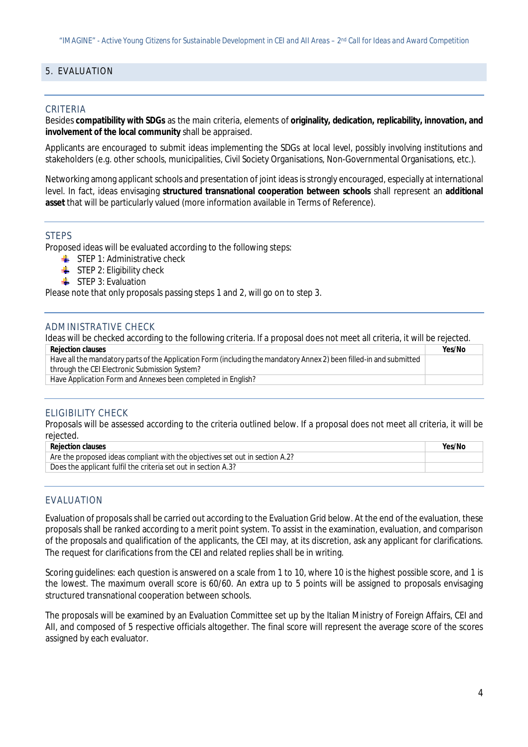#### 5. EVALUATION

#### CRITERIA

Besides **compatibility with SDGs** as the main criteria, elements of **originality, dedication, replicability, innovation, and involvement of the local community** shall be appraised.

Applicants are encouraged to submit ideas implementing the SDGs at local level, possibly involving institutions and stakeholders (e.g. other schools, municipalities, Civil Society Organisations, Non-Governmental Organisations, etc.).

Networking among applicant schools and presentation of joint ideas is strongly encouraged, especially at international level. In fact, ideas envisaging **structured transnational cooperation between schools** shall represent an **additional asset** that will be particularly valued (more information available in Terms of Reference).

#### STEPS

Proposed ideas will be evaluated according to the following steps:

- $\blacksquare$  STEP 1: Administrative check
- $\triangleq$  STEP 2: Eligibility check
- $\blacksquare$  STEP 3: Evaluation

Please note that only proposals passing steps 1 and 2, will go on to step 3.

#### ADMINISTRATIVE CHECK

Ideas will be checked according to the following criteria. If a proposal does not meet all criteria, it will be rejected.

| Yes/No |
|--------|
|        |
|        |
|        |
|        |

#### ELIGIBILITY CHECK

Proposals will be assessed according to the criteria outlined below. If a proposal does not meet all criteria, it will be rejected.

| <b>Rejection clauses</b>                                                     | Yes/No |
|------------------------------------------------------------------------------|--------|
| Are the proposed ideas compliant with the objectives set out in section A.2? |        |
| Does the applicant fulfil the criteria set out in section A.3?               |        |

#### EVALUATION

Evaluation of proposals shall be carried out according to the Evaluation Grid below. At the end of the evaluation, these proposals shall be ranked according to a merit point system. To assist in the examination, evaluation, and comparison of the proposals and qualification of the applicants, the CEI may, at its discretion, ask any applicant for clarifications. The request for clarifications from the CEI and related replies shall be in writing.

Scoring guidelines: each question is answered on a scale from 1 to 10, where 10 is the highest possible score, and 1 is the lowest. The maximum overall score is 60/60. An extra up to 5 points will be assigned to proposals envisaging structured transnational cooperation between schools.

The proposals will be examined by an Evaluation Committee set up by the Italian Ministry of Foreign Affairs, CEI and AII, and composed of 5 respective officials altogether. The final score will represent the average score of the scores assigned by each evaluator.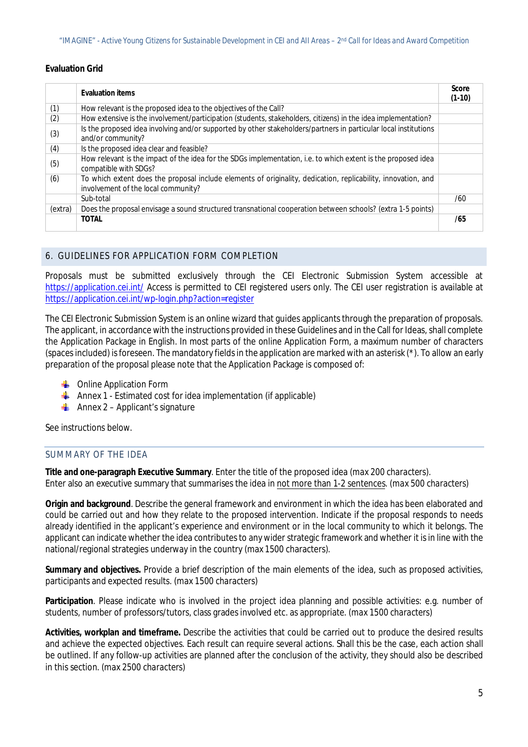#### **Evaluation Grid**

|         | <b>Evaluation items</b>                                                                                                                              | <b>Score</b><br>$(1-10)$ |
|---------|------------------------------------------------------------------------------------------------------------------------------------------------------|--------------------------|
| (1)     | How relevant is the proposed idea to the objectives of the Call?                                                                                     |                          |
| (2)     | How extensive is the involvement/participation (students, stakeholders, citizens) in the idea implementation?                                        |                          |
| (3)     | Is the proposed idea involving and/or supported by other stakeholders/partners in particular local institutions<br>and/or community?                 |                          |
| (4)     | Is the proposed idea clear and feasible?                                                                                                             |                          |
| (5)     | How relevant is the impact of the idea for the SDGs implementation, i.e. to which extent is the proposed idea<br>compatible with SDGs?               |                          |
| (6)     | To which extent does the proposal include elements of originality, dedication, replicability, innovation, and<br>involvement of the local community? |                          |
|         | Sub-total                                                                                                                                            | /60                      |
| (extra) | Does the proposal envisage a sound structured transnational cooperation between schools? (extra 1-5 points)                                          |                          |
|         | <b>TOTAL</b>                                                                                                                                         | /65                      |

#### 6. GUIDELINES FOR APPLICATION FORM COMPLETION

Proposals must be submitted exclusively through the CEI Electronic Submission System accessible at https://application.cei.int/ Access is permitted to CEI registered users only. The CEI user registration is available at https://application.cei.int/wp-login.php?action=register

The CEI Electronic Submission System is an online wizard that guides applicants through the preparation of proposals. The applicant, in accordance with the instructions provided in these Guidelines and in the Call for Ideas, shall complete the Application Package in English. In most parts of the online Application Form, a maximum number of characters (spaces included) is foreseen. The mandatory fields in the application are marked with an asterisk (\*). To allow an early preparation of the proposal please note that the Application Package is composed of:

- **Conline Application Form**
- Annex 1 Estimated cost for idea implementation (if applicable)
- Annex 2 Applicant's signature

See instructions below.

#### SUMMARY OF THE IDEA

**Title and one-paragraph Executive Summary**. Enter the title of the proposed idea *(max 200 characters).* Enter also an executive summary that summarises the idea in not more than 1-2 sentences. (*max 500 characters*)

**Origin and background**. Describe the general framework and environment in which the idea has been elaborated and could be carried out and how they relate to the proposed intervention. Indicate if the proposal responds to needs already identified in the applicant's experience and environment or in the local community to which it belongs. The applicant can indicate whether the idea contributes to any wider strategic framework and whether it is in line with the national/regional strategies underway in the country (max 1500 characters).

**Summary and objectives.** Provide a brief description of the main elements of the idea, such as proposed activities, participants and expected results. (*max 1500 characters*)

**Participation**. Please indicate who is involved in the project idea planning and possible activities: e.g. number of students, number of professors/tutors, class grades involved etc. as appropriate. (*max 1500 characters*)

**Activities, workplan and timeframe.** Describe the activities that could be carried out to produce the desired results and achieve the expected objectives. Each result can require several actions. Shall this be the case, each action shall be outlined. If any follow-up activities are planned after the conclusion of the activity, they should also be described in this section. (*max 2500 characters*)